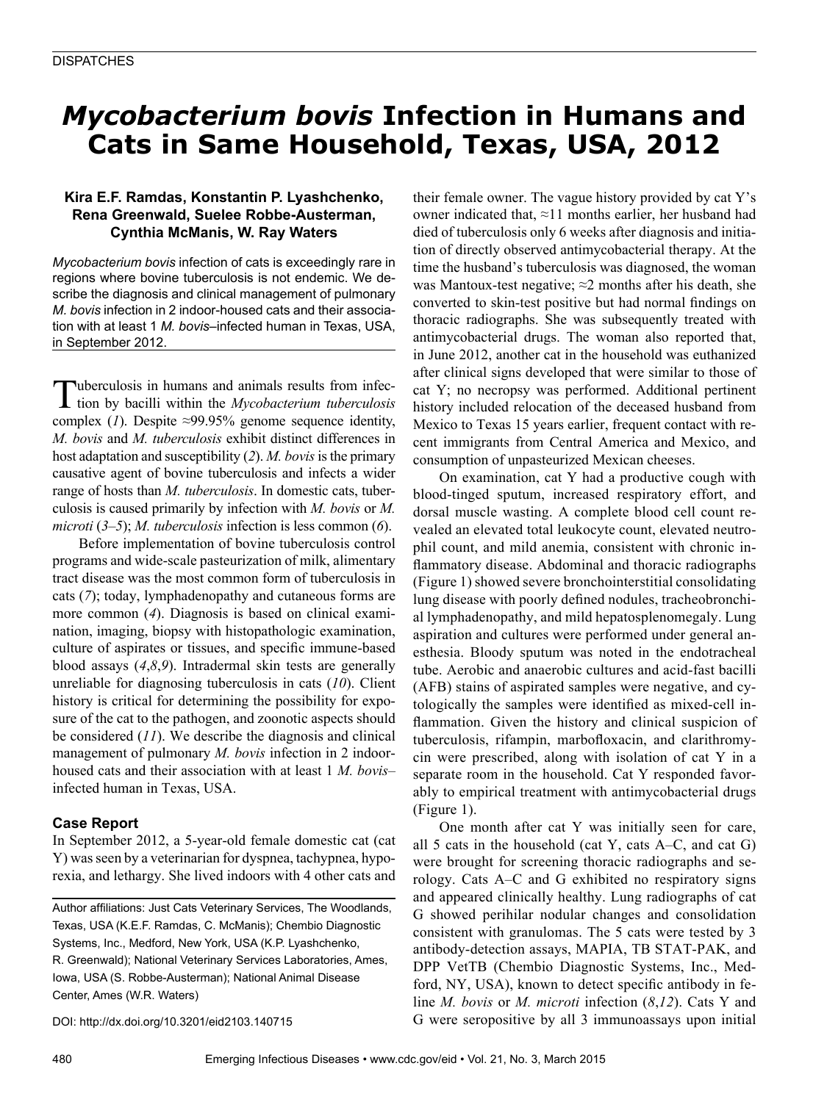# *Mycobacterium bovis* **Infection in Humans and Cats in Same Household, Texas, USA, 2012**

### **Kira E.F. Ramdas, Konstantin P. Lyashchenko, Rena Greenwald, Suelee Robbe-Austerman, Cynthia McManis, W. Ray Waters**

*Mycobacterium bovis* infection of cats is exceedingly rare in regions where bovine tuberculosis is not endemic. We describe the diagnosis and clinical management of pulmonary *M. bovis* infection in 2 indoor-housed cats and their association with at least 1 *M. bovis*–infected human in Texas, USA, in September 2012.

Tuberculosis in humans and animals results from infection by bacilli within the *Mycobacterium tuberculosis* complex (*1*). Despite ≈99.95% genome sequence identity, *M. bovis* and *M. tuberculosis* exhibit distinct differences in host adaptation and susceptibility (*2*). *M. bovis* is the primary causative agent of bovine tuberculosis and infects a wider range of hosts than *M. tuberculosis*. In domestic cats, tuberculosis is caused primarily by infection with *M. bovis* or *M. microti* (*3–5*); *M. tuberculosis* infection is less common (*6*).

Before implementation of bovine tuberculosis control programs and wide-scale pasteurization of milk, alimentary tract disease was the most common form of tuberculosis in cats (*7*); today, lymphadenopathy and cutaneous forms are more common (*4*). Diagnosis is based on clinical examination, imaging, biopsy with histopathologic examination, culture of aspirates or tissues, and specific immune-based blood assays (*4*,*8*,*9*). Intradermal skin tests are generally unreliable for diagnosing tuberculosis in cats (*10*). Client history is critical for determining the possibility for exposure of the cat to the pathogen, and zoonotic aspects should be considered (*11*). We describe the diagnosis and clinical management of pulmonary *M. bovis* infection in 2 indoorhoused cats and their association with at least 1 *M. bovis*– infected human in Texas, USA.

## **Case Report**

In September 2012, a 5-year-old female domestic cat (cat Y) was seen by a veterinarian for dyspnea, tachypnea, hyporexia, and lethargy. She lived indoors with 4 other cats and

Author affiliations: Just Cats Veterinary Services, The Woodlands, Texas, USA (K.E.F. Ramdas, C. McManis); Chembio Diagnostic Systems, Inc., Medford, New York, USA (K.P. Lyashchenko, R. Greenwald); National Veterinary Services Laboratories, Ames, Iowa, USA (S. Robbe-Austerman); National Animal Disease Center, Ames (W.R. Waters)

DOI: http://dx.doi.org/10.3201/eid2103.140715

their female owner. The vague history provided by cat Y's owner indicated that, ≈11 months earlier, her husband had died of tuberculosis only 6 weeks after diagnosis and initiation of directly observed antimycobacterial therapy. At the time the husband's tuberculosis was diagnosed, the woman was Mantoux-test negative;  $\approx$ 2 months after his death, she converted to skin-test positive but had normal findings on thoracic radiographs. She was subsequently treated with antimycobacterial drugs. The woman also reported that, in June 2012, another cat in the household was euthanized after clinical signs developed that were similar to those of cat Y; no necropsy was performed. Additional pertinent history included relocation of the deceased husband from Mexico to Texas 15 years earlier, frequent contact with recent immigrants from Central America and Mexico, and consumption of unpasteurized Mexican cheeses.

On examination, cat Y had a productive cough with blood-tinged sputum, increased respiratory effort, and dorsal muscle wasting. A complete blood cell count revealed an elevated total leukocyte count, elevated neutrophil count, and mild anemia, consistent with chronic inflammatory disease. Abdominal and thoracic radiographs (Figure 1) showed severe bronchointerstitial consolidating lung disease with poorly defined nodules, tracheobronchial lymphadenopathy, and mild hepatosplenomegaly. Lung aspiration and cultures were performed under general anesthesia. Bloody sputum was noted in the endotracheal tube. Aerobic and anaerobic cultures and acid-fast bacilli (AFB) stains of aspirated samples were negative, and cytologically the samples were identified as mixed-cell inflammation. Given the history and clinical suspicion of tuberculosis, rifampin, marbofloxacin, and clarithromycin were prescribed, along with isolation of cat Y in a separate room in the household. Cat Y responded favorably to empirical treatment with antimycobacterial drugs (Figure 1).

One month after cat Y was initially seen for care, all 5 cats in the household (cat Y, cats  $A-C$ , and cat G) were brought for screening thoracic radiographs and serology. Cats A–C and G exhibited no respiratory signs and appeared clinically healthy. Lung radiographs of cat G showed perihilar nodular changes and consolidation consistent with granulomas. The 5 cats were tested by 3 antibody-detection assays, MAPIA, TB STAT-PAK, and DPP VetTB (Chembio Diagnostic Systems, Inc., Medford, NY, USA), known to detect specific antibody in feline *M. bovis* or *M. microti* infection (*8*,*12*). Cats Y and G were seropositive by all 3 immunoassays upon initial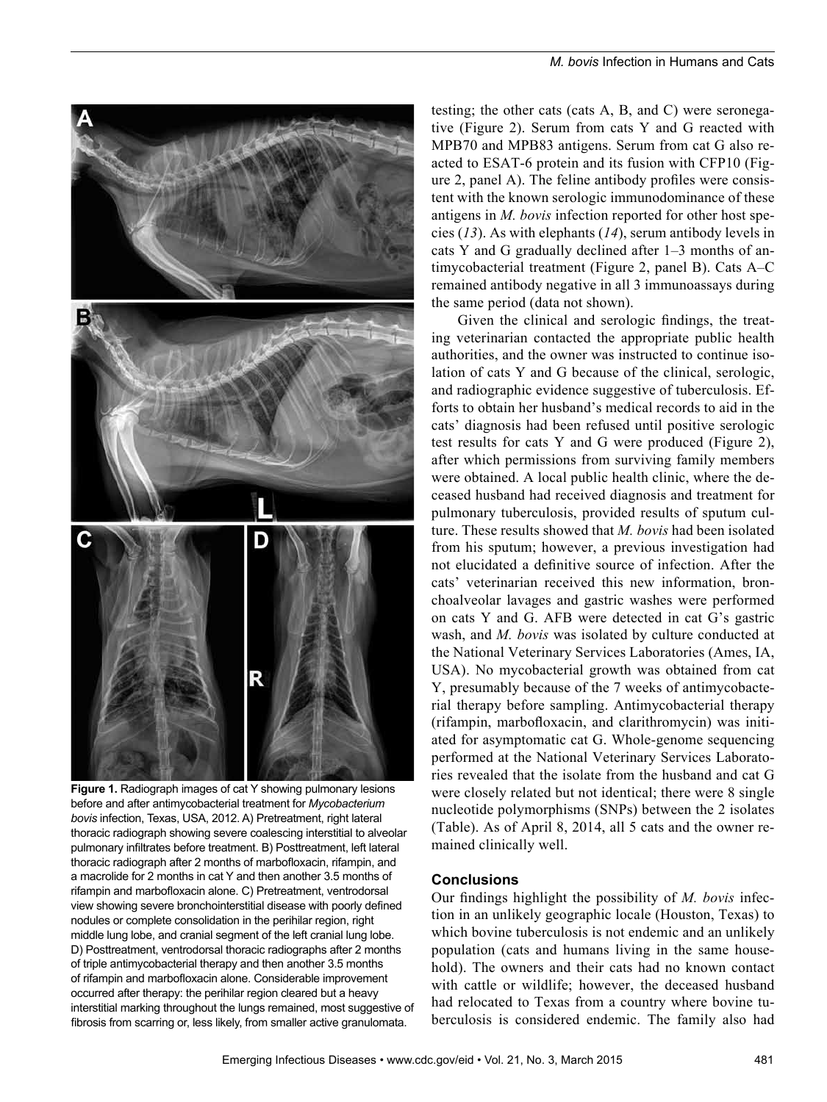

**Figure 1.** Radiograph images of cat Y showing pulmonary lesions before and after antimycobacterial treatment for *Mycobacterium bovis* infection, Texas, USA, 2012. A) Pretreatment, right lateral thoracic radiograph showing severe coalescing interstitial to alveolar pulmonary infiltrates before treatment. B) Posttreatment, left lateral thoracic radiograph after 2 months of marbofloxacin, rifampin, and a macrolide for 2 months in cat Y and then another 3.5 months of rifampin and marbofloxacin alone. C) Pretreatment, ventrodorsal view showing severe bronchointerstitial disease with poorly defined nodules or complete consolidation in the perihilar region, right middle lung lobe, and cranial segment of the left cranial lung lobe. D) Posttreatment, ventrodorsal thoracic radiographs after 2 months of triple antimycobacterial therapy and then another 3.5 months of rifampin and marbofloxacin alone. Considerable improvement occurred after therapy: the perihilar region cleared but a heavy interstitial marking throughout the lungs remained, most suggestive of fibrosis from scarring or, less likely, from smaller active granulomata.

testing; the other cats (cats A, B, and C) were seronegative (Figure 2). Serum from cats Y and G reacted with MPB70 and MPB83 antigens. Serum from cat G also reacted to ESAT-6 protein and its fusion with CFP10 (Figure 2, panel A). The feline antibody profiles were consistent with the known serologic immunodominance of these antigens in *M. bovis* infection reported for other host species (*13*). As with elephants (*14*), serum antibody levels in cats Y and G gradually declined after 1–3 months of antimycobacterial treatment (Figure 2, panel B). Cats A–C remained antibody negative in all 3 immunoassays during the same period (data not shown).

Given the clinical and serologic findings, the treating veterinarian contacted the appropriate public health authorities, and the owner was instructed to continue isolation of cats Y and G because of the clinical, serologic, and radiographic evidence suggestive of tuberculosis. Efforts to obtain her husband's medical records to aid in the cats' diagnosis had been refused until positive serologic test results for cats Y and G were produced (Figure 2), after which permissions from surviving family members were obtained. A local public health clinic, where the deceased husband had received diagnosis and treatment for pulmonary tuberculosis, provided results of sputum culture. These results showed that *M. bovis* had been isolated from his sputum; however, a previous investigation had not elucidated a definitive source of infection. After the cats' veterinarian received this new information, bronchoalveolar lavages and gastric washes were performed on cats Y and G. AFB were detected in cat G's gastric wash, and *M. bovis* was isolated by culture conducted at the National Veterinary Services Laboratories (Ames, IA, USA). No mycobacterial growth was obtained from cat Y, presumably because of the 7 weeks of antimycobacterial therapy before sampling. Antimycobacterial therapy (rifampin, marbofloxacin, and clarithromycin) was initiated for asymptomatic cat G. Whole-genome sequencing performed at the National Veterinary Services Laboratories revealed that the isolate from the husband and cat G were closely related but not identical; there were 8 single nucleotide polymorphisms (SNPs) between the 2 isolates (Table). As of April 8, 2014, all 5 cats and the owner remained clinically well.

#### **Conclusions**

Our findings highlight the possibility of *M. bovis* infection in an unlikely geographic locale (Houston, Texas) to which bovine tuberculosis is not endemic and an unlikely population (cats and humans living in the same household). The owners and their cats had no known contact with cattle or wildlife; however, the deceased husband had relocated to Texas from a country where bovine tuberculosis is considered endemic. The family also had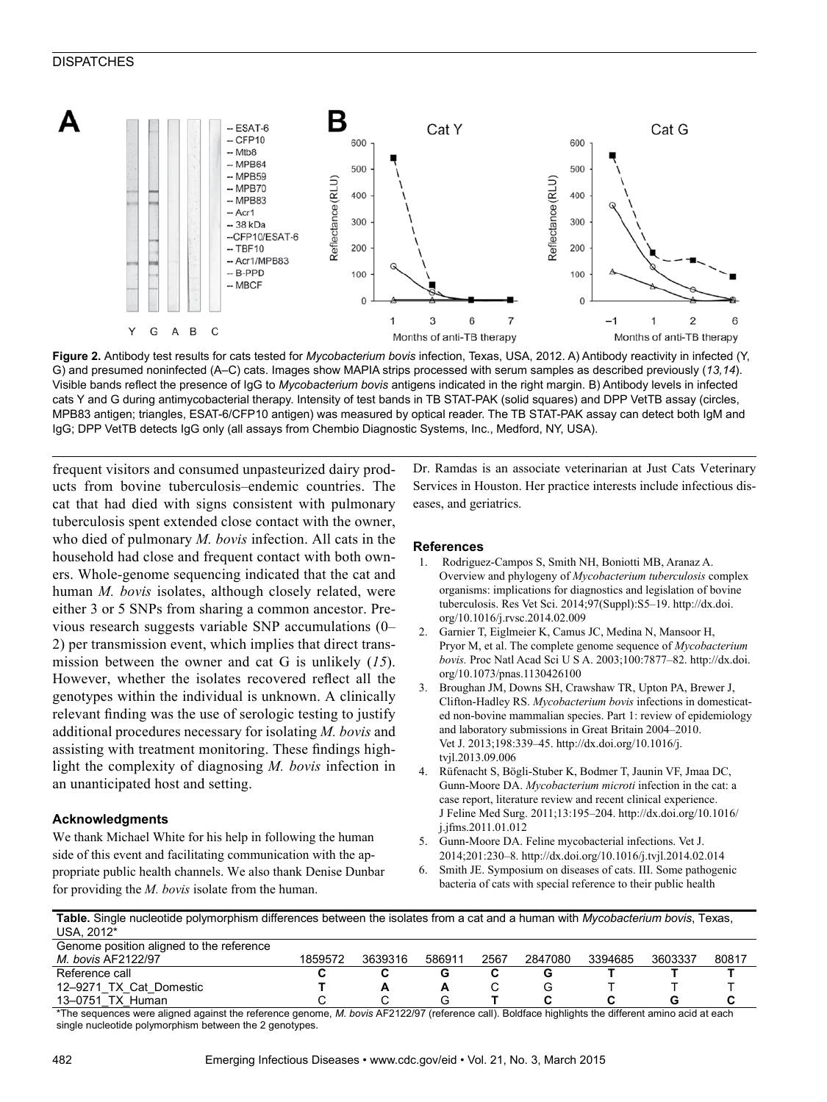### **DISPATCHES**

A



**Figure 2.** Antibody test results for cats tested for *Mycobacterium bovis* infection, Texas, USA, 2012. A) Antibody reactivity in infected (Y, G) and presumed noninfected (A–C) cats. Images show MAPIA strips processed with serum samples as described previously (*13,14*). Visible bands reflect the presence of IgG to *Mycobacterium bovis* antigens indicated in the right margin. B) Antibody levels in infected cats Y and G during antimycobacterial therapy. Intensity of test bands in TB STAT-PAK (solid squares) and DPP VetTB assay (circles, MPB83 antigen; triangles, ESAT-6/CFP10 antigen) was measured by optical reader. The TB STAT-PAK assay can detect both IgM and IgG; DPP VetTB detects IgG only (all assays from Chembio Diagnostic Systems, Inc., Medford, NY, USA).

frequent visitors and consumed unpasteurized dairy products from bovine tuberculosis–endemic countries. The cat that had died with signs consistent with pulmonary tuberculosis spent extended close contact with the owner, who died of pulmonary *M. bovis* infection. All cats in the household had close and frequent contact with both owners. Whole-genome sequencing indicated that the cat and human *M. bovis* isolates, although closely related, were either 3 or 5 SNPs from sharing a common ancestor. Previous research suggests variable SNP accumulations (0– 2) per transmission event, which implies that direct transmission between the owner and cat G is unlikely (*15*). However, whether the isolates recovered reflect all the genotypes within the individual is unknown. A clinically relevant finding was the use of serologic testing to justify additional procedures necessary for isolating *M. bovis* and assisting with treatment monitoring. These findings highlight the complexity of diagnosing *M. bovis* infection in an unanticipated host and setting.

#### **Acknowledgments**

We thank Michael White for his help in following the human side of this event and facilitating communication with the appropriate public health channels. We also thank Denise Dunbar for providing the *M. bovis* isolate from the human.

Dr. Ramdas is an associate veterinarian at Just Cats Veterinary Services in Houston. Her practice interests include infectious diseases, and geriatrics.

#### **References**

- 1. Rodriguez-Campos S, Smith NH, Boniotti MB, Aranaz A. Overview and phylogeny of *Mycobacterium tuberculosis* complex organisms: implications for diagnostics and legislation of bovine tuberculosis. Res Vet Sci. 2014;97(Suppl):S5–19. http://dx.doi. org/10.1016/j.rvsc.2014.02.009
- 2. Garnier T, Eiglmeier K, Camus JC, Medina N, Mansoor H, Pryor M, et al. The complete genome sequence of *Mycobacterium bovis.* Proc Natl Acad Sci U S A. 2003;100:7877–82. http://dx.doi. org/10.1073/pnas.1130426100
- 3. Broughan JM, Downs SH, Crawshaw TR, Upton PA, Brewer J, Clifton-Hadley RS. *Mycobacterium bovis* infections in domesticated non-bovine mammalian species. Part 1: review of epidemiology and laboratory submissions in Great Britain 2004–2010. Vet J. 2013;198:339–45. http://dx.doi.org/10.1016/j. tvjl.2013.09.006
- 4. Rüfenacht S, Bögli-Stuber K, Bodmer T, Jaunin VF, Jmaa DC, Gunn-Moore DA. *Mycobacterium microti* infection in the cat: a case report, literature review and recent clinical experience. J Feline Med Surg. 2011;13:195–204. http://dx.doi.org/10.1016/ j.jfms.2011.01.012
- 5. Gunn-Moore DA. Feline mycobacterial infections. Vet J. 2014;201:230–8. http://dx.doi.org/10.1016/j.tvjl.2014.02.014
- 6. Smith JE. Symposium on diseases of cats. III. Some pathogenic bacteria of cats with special reference to their public health

Table. Single nucleotide polymorphism differences between the isolates from a cat and a human with *Mycobacterium bovis*, Texas, USA, 2012\*

| 1859572 | 3639316 | 586911 | 2567 | 2847080 | 3394685 | 3603337 | 80817 |
|---------|---------|--------|------|---------|---------|---------|-------|
|         |         |        |      |         |         |         |       |
|         |         |        |      |         |         |         |       |
|         |         |        |      |         |         |         |       |
|         |         |        |      |         |         |         |       |

\*The sequences were aligned against the reference genome, *M. bovis* AF2122/97 (reference call). Boldface highlights the different amino acid at each single nucleotide polymorphism between the 2 genotypes.